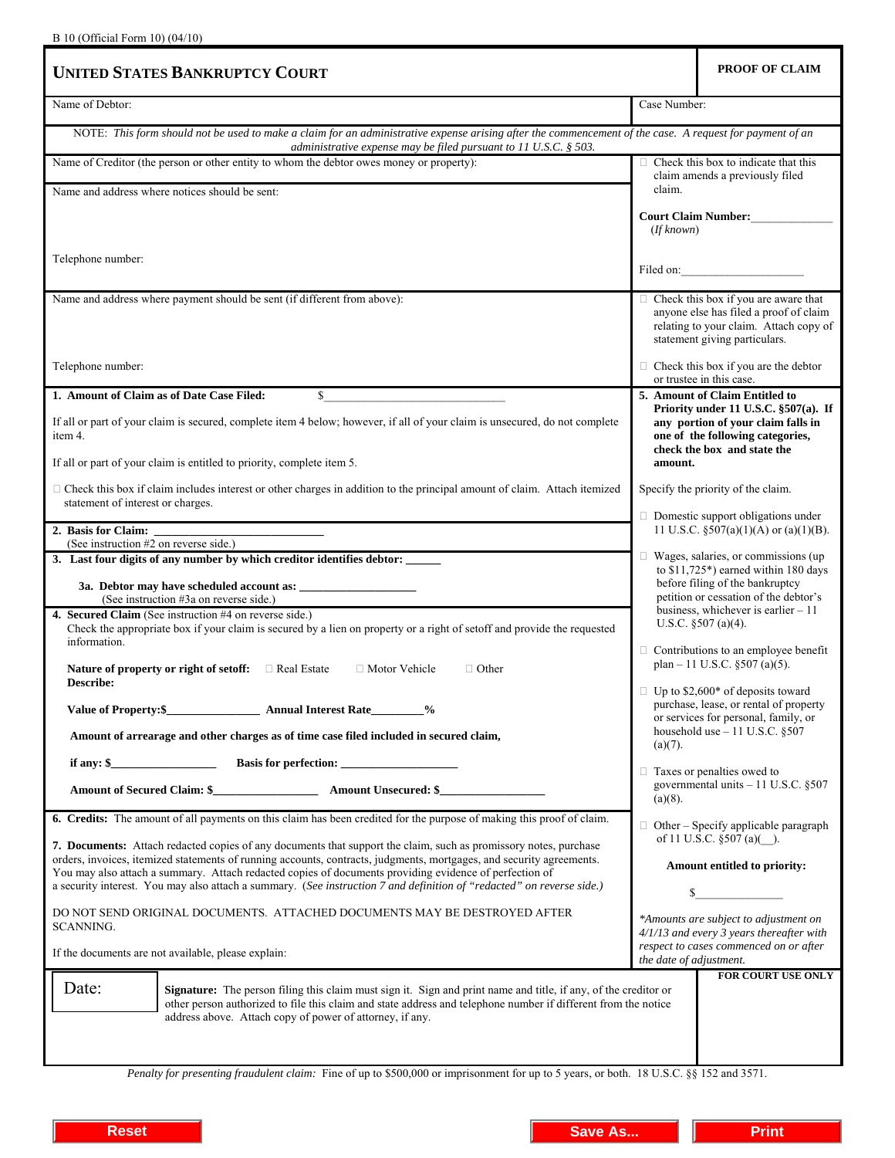| <b>UNITED STATES BANKRUPTCY COURT</b>                                                                                                                                                                                                                                                                                                              |                                                                                                                                                                                                                                                                                                                       | PROOF OF CLAIM                                                                            |
|----------------------------------------------------------------------------------------------------------------------------------------------------------------------------------------------------------------------------------------------------------------------------------------------------------------------------------------------------|-----------------------------------------------------------------------------------------------------------------------------------------------------------------------------------------------------------------------------------------------------------------------------------------------------------------------|-------------------------------------------------------------------------------------------|
| Name of Debtor:                                                                                                                                                                                                                                                                                                                                    | Case Number:                                                                                                                                                                                                                                                                                                          |                                                                                           |
| NOTE: This form should not be used to make a claim for an administrative expense arising after the commencement of the case. A request for payment of an<br>administrative expense may be filed pursuant to 11 U.S.C. § 503.                                                                                                                       |                                                                                                                                                                                                                                                                                                                       |                                                                                           |
| Name of Creditor (the person or other entity to whom the debtor owes money or property):                                                                                                                                                                                                                                                           | $\Box$ Check this box to indicate that this<br>claim amends a previously filed<br>claim.<br><b>Court Claim Number:</b><br>(If known)<br>Filed on:<br>$\Box$ Check this box if you are aware that<br>anyone else has filed a proof of claim<br>relating to your claim. Attach copy of<br>statement giving particulars. |                                                                                           |
| Name and address where notices should be sent:                                                                                                                                                                                                                                                                                                     |                                                                                                                                                                                                                                                                                                                       |                                                                                           |
|                                                                                                                                                                                                                                                                                                                                                    |                                                                                                                                                                                                                                                                                                                       |                                                                                           |
| Telephone number:                                                                                                                                                                                                                                                                                                                                  |                                                                                                                                                                                                                                                                                                                       |                                                                                           |
| Name and address where payment should be sent (if different from above):                                                                                                                                                                                                                                                                           |                                                                                                                                                                                                                                                                                                                       |                                                                                           |
| Telephone number:                                                                                                                                                                                                                                                                                                                                  |                                                                                                                                                                                                                                                                                                                       | $\Box$ Check this box if you are the debtor<br>or trustee in this case.                   |
| 1. Amount of Claim as of Date Case Filed:<br>$\mathbb{S}$                                                                                                                                                                                                                                                                                          |                                                                                                                                                                                                                                                                                                                       | 5. Amount of Claim Entitled to<br>Priority under 11 U.S.C. §507(a). If                    |
| If all or part of your claim is secured, complete item 4 below; however, if all of your claim is unsecured, do not complete<br>item 4.                                                                                                                                                                                                             | any portion of your claim falls in<br>one of the following categories,<br>check the box and state the                                                                                                                                                                                                                 |                                                                                           |
| If all or part of your claim is entitled to priority, complete item 5.                                                                                                                                                                                                                                                                             | amount.                                                                                                                                                                                                                                                                                                               |                                                                                           |
| $\Box$ Check this box if claim includes interest or other charges in addition to the principal amount of claim. Attach itemized<br>statement of interest or charges.                                                                                                                                                                               | Specify the priority of the claim.                                                                                                                                                                                                                                                                                    |                                                                                           |
| 2. Basis for Claim:                                                                                                                                                                                                                                                                                                                                |                                                                                                                                                                                                                                                                                                                       | $\Box$ Domestic support obligations under<br>11 U.S.C. $\S 507(a)(1)(A)$ or $(a)(1)(B)$ . |
| (See instruction #2 on reverse side.)<br>3. Last four digits of any number by which creditor identifies debtor: _____                                                                                                                                                                                                                              |                                                                                                                                                                                                                                                                                                                       | $\Box$ Wages, salaries, or commissions (up                                                |
| (See instruction #3a on reverse side.)                                                                                                                                                                                                                                                                                                             | to $$11,725^*$ ) earned within 180 days<br>before filing of the bankruptcy<br>petition or cessation of the debtor's                                                                                                                                                                                                   |                                                                                           |
| 4. Secured Claim (See instruction #4 on reverse side.)<br>Check the appropriate box if your claim is secured by a lien on property or a right of setoff and provide the requested<br>information.                                                                                                                                                  |                                                                                                                                                                                                                                                                                                                       | business, whichever is earlier $-11$<br>U.S.C. $$507(a)(4)$ .                             |
| Nature of property or right of setoff: $\Box$ Real Estate<br>□ Motor Vehicle<br>$\Box$ Other<br>Describe:                                                                                                                                                                                                                                          |                                                                                                                                                                                                                                                                                                                       | $\Box$ Contributions to an employee benefit<br>plan – 11 U.S.C. $\S 507$ (a)(5).          |
| Value of Property: \$ 4nnual Interest Rate 1/2                                                                                                                                                                                                                                                                                                     | $\Box$ Up to \$2,600* of deposits toward<br>purchase, lease, or rental of property<br>or services for personal, family, or<br>household use $-11$ U.S.C. §507<br>$(a)(7)$ .<br>$\Box$ Taxes or penalties owed to<br>governmental units $-11$ U.S.C. §507<br>$(a)(8)$ .                                                |                                                                                           |
| Amount of arrearage and other charges as of time case filed included in secured claim,                                                                                                                                                                                                                                                             |                                                                                                                                                                                                                                                                                                                       |                                                                                           |
|                                                                                                                                                                                                                                                                                                                                                    |                                                                                                                                                                                                                                                                                                                       |                                                                                           |
|                                                                                                                                                                                                                                                                                                                                                    |                                                                                                                                                                                                                                                                                                                       |                                                                                           |
| 6. Credits: The amount of all payments on this claim has been credited for the purpose of making this proof of claim.                                                                                                                                                                                                                              |                                                                                                                                                                                                                                                                                                                       | $\Box$ Other – Specify applicable paragraph                                               |
| 7. Documents: Attach redacted copies of any documents that support the claim, such as promissory notes, purchase<br>orders, invoices, itemized statements of running accounts, contracts, judgments, mortgages, and security agreements.<br>You may also attach a summary. Attach redacted copies of documents providing evidence of perfection of | of 11 U.S.C. §507 (a)().<br>Amount entitled to priority:                                                                                                                                                                                                                                                              |                                                                                           |
| a security interest. You may also attach a summary. (See instruction 7 and definition of "redacted" on reverse side.)                                                                                                                                                                                                                              | \$                                                                                                                                                                                                                                                                                                                    |                                                                                           |
| DO NOT SEND ORIGINAL DOCUMENTS. ATTACHED DOCUMENTS MAY BE DESTROYED AFTER<br>SCANNING.                                                                                                                                                                                                                                                             | *Amounts are subject to adjustment on<br>4/1/13 and every 3 years thereafter with<br>respect to cases commenced on or after                                                                                                                                                                                           |                                                                                           |
| If the documents are not available, please explain:                                                                                                                                                                                                                                                                                                | the date of adjustment.                                                                                                                                                                                                                                                                                               |                                                                                           |
| Date:<br>Signature: The person filing this claim must sign it. Sign and print name and title, if any, of the creditor or<br>other person authorized to file this claim and state address and telephone number if different from the notice<br>address above. Attach copy of power of attorney, if any.                                             |                                                                                                                                                                                                                                                                                                                       | FOR COURT USE ONLY                                                                        |
|                                                                                                                                                                                                                                                                                                                                                    |                                                                                                                                                                                                                                                                                                                       |                                                                                           |

*Penalty for presenting fraudulent claim:* Fine of up to \$500,000 or imprisonment for up to 5 years, or both. 18 U.S.C. §§ 152 and 3571.